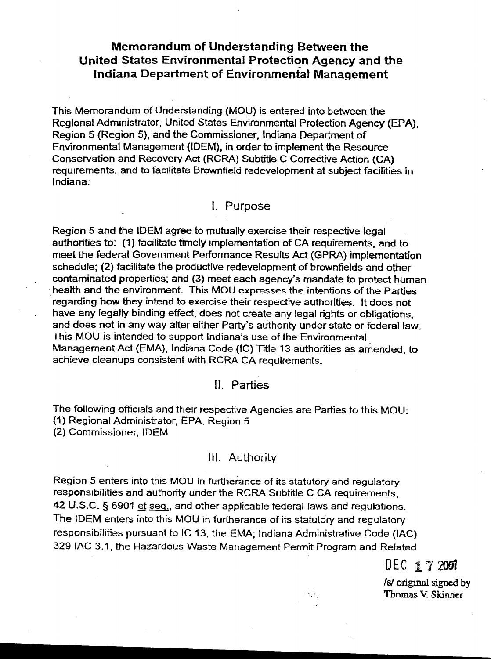# Memorandum of Understanding Between the United States Environmental Protection Agency and the Indiana Department of Environmental Management

This Memorandum of Understanding (MOU) is entered into between the Regional Administrator, United States Environmental Protection Agency (EPA), Region 5 (Region 5), and the Commissioner, Indiana Department of Environmental Management (IDEM), in order to implement the Resource Conservation and Recovery Act (RCRA) Subtitle C Corrective Action (CA) requirements, and to facilitate Brownfield redevelopment at subject facilities in Indiana:

### 1- Purpose

Region 5 and the IDEM agree to mutually exercise their respective legal authorities to: (1) facilitate timely implementation of CA requirements, and to meet the federal Government Performance Results Act (GPRA) implementation schedule; (2) facilitate the productive redevelopment of brownfields and other contaminated properties; and (3) meet each agency's mandate to protect human health and the environment. This MOU expresses the intentions of the Parties regarding how they intend to exercise their respective authorities. It does not have any legatly binding effect, does not create any legal rights or obligations, and does not in any way alter either Party's authority under state or federal law. This MOU is intended to support Indiana's use of the Environmental Management Act (EMA), Indiana Code (IC) Title 13 authorities as amended, to achieve cleanups consistent with RCRA CA requirements.

## II. Parties

The following officials and their respective Agencies are Parties to this MOU: (1) Regional Administrator, EPA, Region 5 (2) Commissioner, IDEM

## III. Authority

Region 5 enters into this MOU in furtherance of its statutory and regulatory responsibilities and authority under the RCRA Subtitle C CA requirements, 42 U.S.C.  $\S$  6901 et seq., and other applicable federal laws and regulations. The IDEM enters into this MOU in furtherance of its statutory and regulatory responsibilities pursuant to IC 13, the EMA; Indiana Administrative Code (lAC) 329 lAC 3.1, the Hazardous Waste Marlagement Permit Program and Related

DEC 1 7 2001

Is! origjnal signed"by Thomas V. Skinner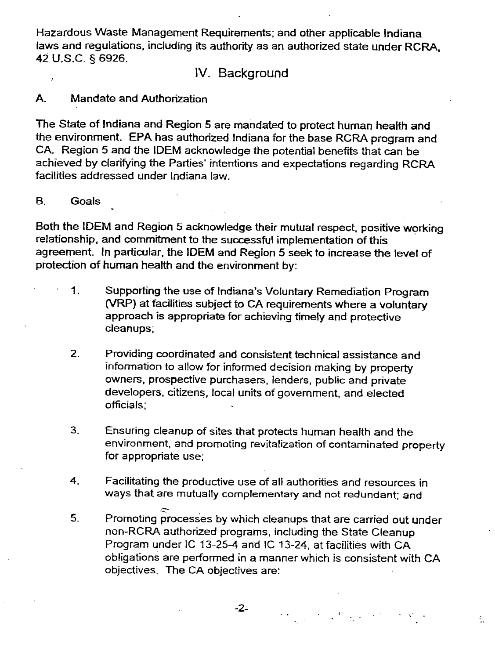Hazardous Waste Management Requirements; and other applicable Indiana laws and regulations. including its authority as an authorized state under RCRA. 42 U.S.C. § 6926.

### IV. Background

### A. Mandate and Authorization

The State of Indiana and Region 5 are mandated to protect human health and the environment. EPA has authorized Indiana for the base RCRA program and CA. Region 5 and the IDEM acknowledge the potential benefits that can be achieved by clarifying the Parties' intentions and expectations regarding RCRA facilities addressed under Indiana law.

#### B. Goals

Both the IDEM and Region 5 acknowledge their mutual respect, positive working relationship, and commitment to the successful implementation of this agreement. In particular, the IDEM and Region 5 seek to increase the level of protection of human health and the environment by:

- 1. Supporting the use of Indiana's Voluntary Remediation Program (VRP) at facilities subject to CA requirements where a voluntary approach is appropriate for achieving timely and protective cleanups;
- 2. Providing coordinated and consistent technical assistance and information to allow for informed decision making by property owners, prospective purchasers, lenders, public and private developers, citizens:. local units of government. and elected officials;
- 3. Ensuring cleanup of sites that protects human health and the environment, and promoting revitalization of contaminated property for appropriate use;
- 4. Facilitating the productive use of all authorities and resources in ways that are mutually complementary and not redundant; and
- ..;:- 5. Promoting processes by which cleanups that are carried out under non-RCRA authorized programs, including the State Cleanup Program under IC 13-25-4 and IC 13-24. at facilities with CA obligations are performed in a manner which is consistent with CA objectives. The CA objectives are:

 $\mathcal{L}_{\mathcal{L}}$ 

-2- °. .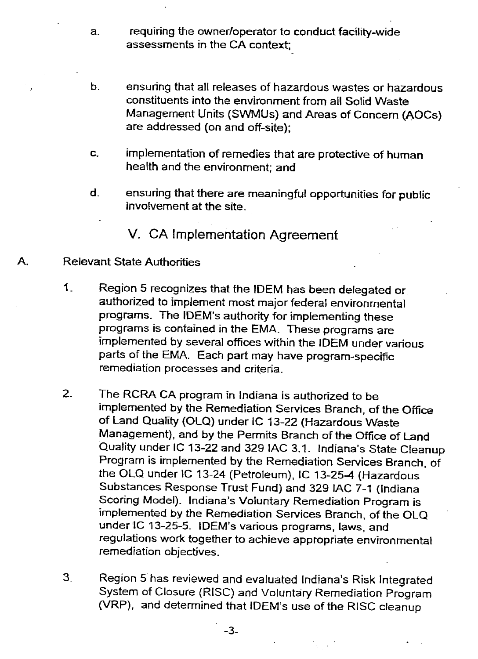- a. requiring the owner/operator to conduct facility-wide assessments in the CA context;
- b. ensuring that all releases of hazardous wastes or hazardous constituents into the environment from all Solid Waste Management Units (SWMUs) and Areas of Concern (AOCs) are addressed (on and off-site);
- c. implementation of remedies that are protective of human health and the environment; and
- d. ensuring that there are meaningful opportunities for public involvement at the site.

V. CA Implementation Agreement

#### A. Relevant State Authorities

- 1. Region 5 recognizes that the IDEM has been delegated or authorized to implement most major federal environmental programs. The IDEM's authority for implementing these programs is contained in the EMA. These programs are implemented by several offices within the IDEM under various parts of the EMA. Each part may have program-specific remediation processes and criteria.
- 2. The RCRA CA program in Indiana is authorized to be implemented by the Remediation Services Branch, of the Office of land Quality (OlQ) under IC 13-22 (Hazardous Waste Management), and by the Permits Branch of the Office of land Quality under IC 13-22 and 329 lAC 3.1. Indiana's State Cleanup Program is implemented by the Remediation Services Branch, of the OLQ under IC 13-24 (Petroleum), IC 13-25-4 (Hazardous Substances Response Trust Fund) and 329 lAC 7-1 (Indiana Scoring Model). Indiana's Voluntary Remediation Program is implemented by the Remediation Services Branch, of the OlQ under 'IC 13-25-5. IDEM's various programs, laws, and regulations work together to achieve appropriate environmental remediation objectives.
- 3. Region 5 has reviewed and evaluated Indiana's Risk Integrated System of Closure (RISC) and Voluntary Remediation Program (VRP), and determined that IDEM's use of the RISC cleanup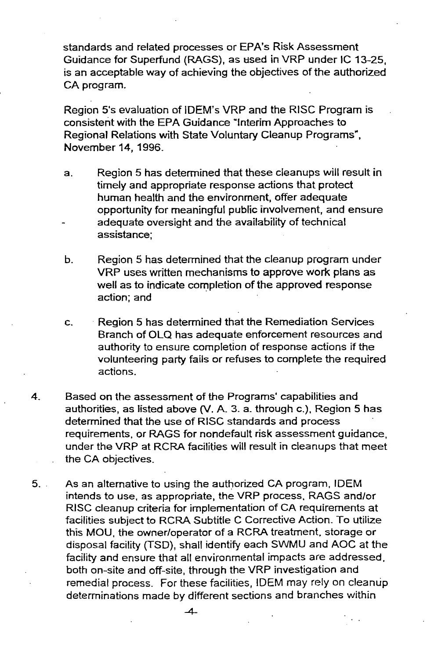standards and related processes or EPA's Risk Assessment Guidance for Superfund (RAGS), as used in VRP under IC 13-25, is an acceptable way of achieving the objectives of the authorized CA program.

Region 5's evaluation of IDEM's VRP and the RISC Program is consistent with the EPA Guidance "Interim Approaches to Regional Relations with State Voluntary Cleanup Programs", November 14,1996.

- a. Region 5 has determined that these cleanups will result in timely and appropriate response actions that protect human health and the environment, offer adequate opportunity for meaningful public involvement, and ensure adequate oversight and the availability of technical assistance;
- b. Region 5 has determined that the cleanup program under VRP uses written mechanisms to approve work plans as well as to indicate completion of the approved response action; and
- c. Region 5 has determined that the Remediation Services Branch of OLQ has adequate enforcement resources and authority to ensure completion of response actions if the volunteering party fails or refuses to complete the required actions.
- 4. Based on the assessment of the Programs' capabilities and authorities, as listed above (Y. A. 3. a. through c.), Region 5 has determined that the use of RISC standards and process requirements, or RAGS for nondefault risk assessment guidance, under the VRP at RCRA facilities will result in cleanups that meet the CA objectives.
- 5. As an alternative to using the authorized CA program, IDEM intends to use, as appropriate, the VRP process, RAGS and/or RISC cleanup criteria for implementation of CA requirements at facilities subject to RCRA Subtitle C Corrective Action. To utilize this MOU, the owner/operator of a RCRA treatment, storage or disposal facility (TSD), shall identify each SWMU and AOC at the facility and ensure that all environmental impacts are addressed, both on-site and off-site, through the VRP investigation and remedial process. For these facilities, IDEM may rely on cleanup determinations made by different sections and branches within

 $\overline{A}$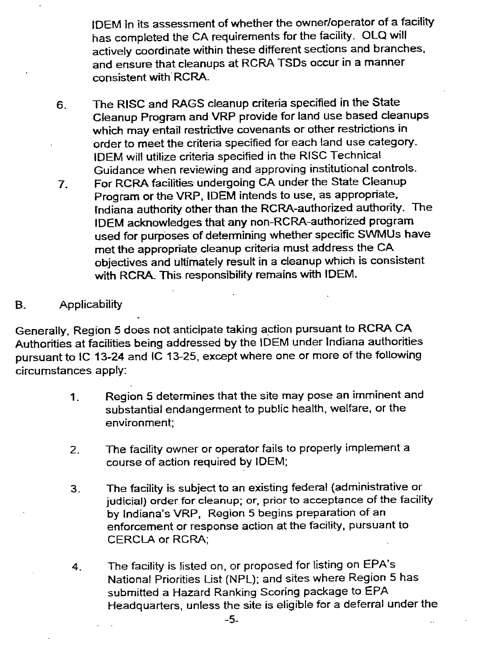IDEM in its assessment of whether the owner/operator of a facility has completed the CA requirements for the facility. OLQ will actively coordinate within these different sections and branches. and ensure that cleanups at RCRA TSDs occur in a manner consistent with RCRA.

- 6. The RISC and RAGS cleanup criteria specified in the State Cleanup Program and VRP provide for land use based cleanups which may entail restrictive covenants or other restrictions in order to meet the criteria specified for each land use category-IDEM will utilize criteria specified in the RISC Technical Guidance when reviewing and approving institutional controls.
- 7. For RCRA facilities undergoing CA under the State Cleanup Program or the VRP, IDEM intends to use, as appropriate, rndiana authority other than the RCRA-authorized authority. The IDEM acknowledges that any non-RCRA-authorized program used for purposes of determining whether specific SWMUs have met the appropriate cleanup criteria must address the CA objectives and ultimately result in a cleanup which is consistent with RCRA- This responsibility remains with IDEM.

### B. Applicability

Generally, Region 5 does not anticipate taking action pursuant to RCRA CA Authorities at facilities being addressed by the IDEM under Indiana authorities pursuant to IC 13-24 and IC 13-25, except where one or more of the following circumstances apply:

- 1. Region 5 determines that the site may pose an imminent and substantial endangerment to public health, welfare, or the environment;
- 2. The facility owner or operator fails to properly implement a course of action required by IDEM;
- 3. The facility is subject to an existing federal (administrative or judicial) order for cleanup; or, prior to acceptance of the facility by Indiana's VRP, Region 5 begins preparation of an enforcement or response action at the facility, pursuant to CERCLA or RCRA;
- 4. The facility is listed on, or proposed for listing on EPA's National Priorities list (NPL); and sites where Region 5 has submitted a Hazard Ranking Scoring package to EPA Headquarters, unless the site is eligible for a deferral under the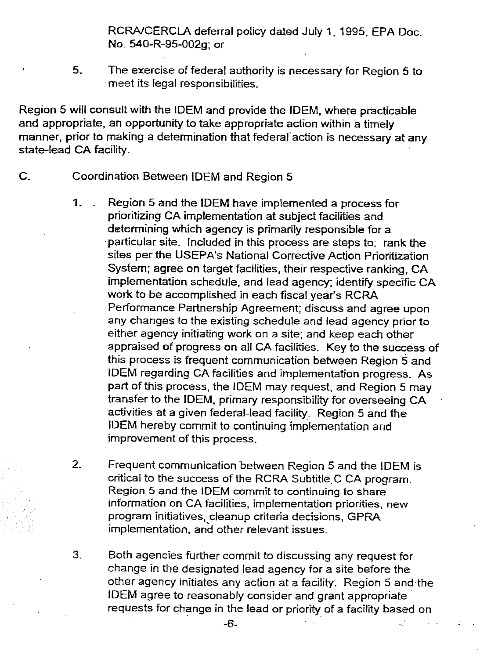RCRA/CERCLA deferral policy dated July 1, 1995, EPA Doc. No- 540-R-95-002g; or

5. The exercise of federal authority is necessary for Region 5 to .meet its legal responsibilities.

Region 5 will consult with the IDEM and provide the IDEM, where practicable and appropriate, an opportunity to take appropriate action within a timely manner, prior to making a determination that federal action is necessary at any state-lead CA facility.

- C. Coordination Between IDEM and Region 5
	- 1. Region 5 and the IDEM have implemented a process for prioritizing CA implementation at subject facilities and determining which agency is primarily responsible for a .particular site. Included in this process are steps to: rank the sites per the USEPA's National Corrective Action Prioritization System; agree on target facilities, their respective ranking, CA implementation schedule, and lead agency; identify specific CA work to be accomplished in each fiscal year's RCRA Performance Partnership Agreement; discuss and agree upon any changes to the existing schedule and lead agency prior to either agency initiating work on a site; and keep each other appraised of progress on all CA facilities. Key to the success of this process is frequent communication between Region 5 and IDEM regarding CA facilities and implementation progress. As part of this process, the IDEM may request. and Region 5 may transfer to the IDEM, primary responsibility for overseeing CA activities at a given federal-lead facility: Region 5 and the IDEM hereby commit to continuing implementation and improvement of this process.
	- 2. Frequent communication between Region 5 and the IDEM is critical to the success of the RCRA Subtitle C CA program. Region 5 and the IDEM commit to continuing to share information on CA facilities, implementation priorities, new program initiatives, cleanup criteria decisions, GPRA implementation, and other relevant issues.
	- 3. Both agencies further commit to discussing any request for change in the designated lead agency for a site before the other agency initiates any action at a facility. Region 5 and.the IDEM agree to reasonably consider and grant appropriate' requests for change in the lead or priority of a facility based on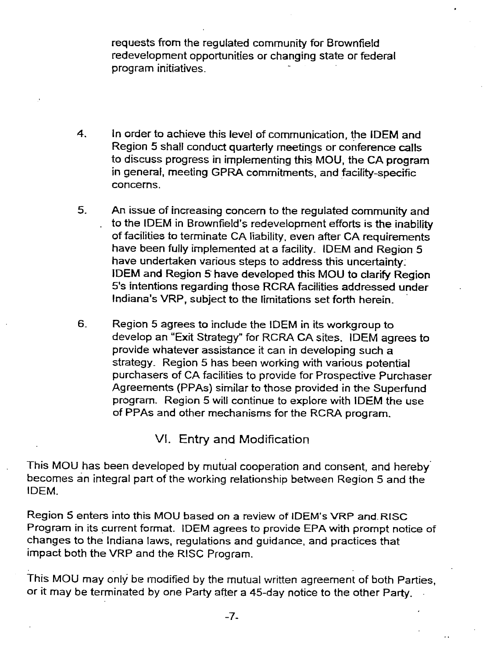requests from the regulated community for Brownfield redevelopment opportunities or changing state or federal program initiatives-

- 4. In order to achieve this level of communication, the IDEM and Region 5 shall conduct quarterly meetings or conference calls to discuss progress in implementing this MOU, the CA program in general, meeting GPRA commitments, and facility-specific concerns.
- 5. An issue of increasing concern to the regulated community and to the IDEM in Brownfield's redevelopment efforts is the inability of facilities to terminate CA liability. even after CA requirements have been fully implemented at a facility. IDEM and Region 5 have undertaken various steps to address this uncertainty: IDEM and Region 5 have developed this MOU to clarify Region 5's intentions regarding those RCRA facilities addressed under Indiana's VRP, subject to the limitations set forth herein.
- 6- Region 5 agrees to include the IDEM in its workgroup to develop an "Exit Strategy" for RCRA CA sites. IDEM agrees to provide whatever assistance it can in developing such a strategy. Region 5 has been working with various potential purchasers of CA facilities to provide for Prospective Purchaser Agreements (PPAs) similar to those provided in the Superfund program. Region 5 will continue to explore with IDEM the use of PPAs and other mechanisms for the RCRA program.

# VI. Entry and Modification

This MOU has been developed by mutual cooperation and consent, and hereby. becomes an integral part of the working relationship between Region 5 and the IDEM.

Region 5 enters into this MOU based on a review of IDEM's VRP and. RISC Program in its current format. IDEM agrees to provide EPA with prompt notice of changes to the Indiana laws, regulations and guidance, and practices that impact both the VRP and the RISC Program.

This MOU may only be modified by the mutual written agreement of both Parties, or it may be terminated by one Party after a 45-day notice to the other Party. .